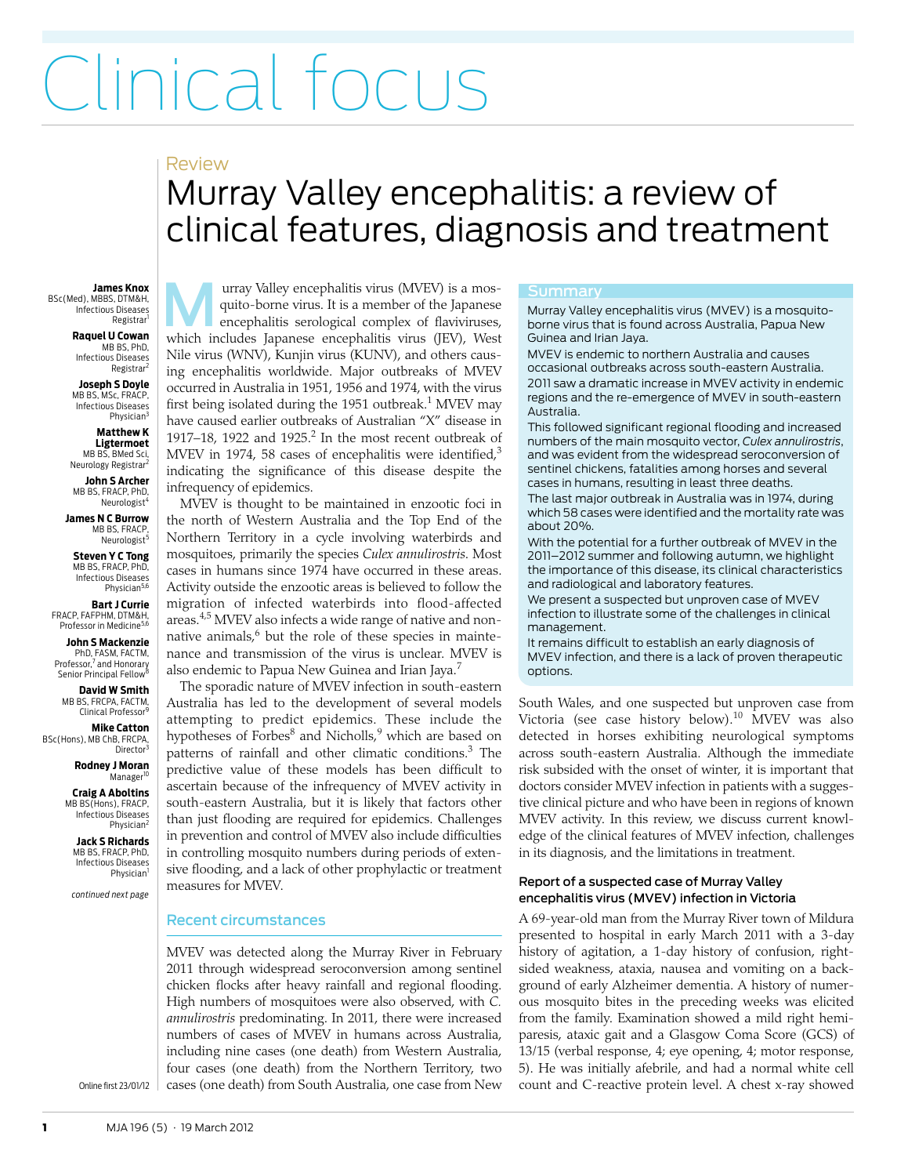# Clinical focus

### Review

## <span id="page-0-0"></span>Murray Valley encephalitis: a review of clinical features, diagnosis and treatment

**James Knox** BSc(Med), MBBS, DTM&H, Infectious Diseases Registrar<sup>1</sup>

> **Raquel U Cowan** MB BS, PhD, Infectious Diseases Registrar<sup>2</sup>

> **Joseph S Doyle** MB BS, MSc, FRACP, Infectious Diseases Physician<sup>3</sup>

**Matthew K Ligtermoet** MB BS, BMed Sci,

Neurology Registrar<sup>2</sup> **John S Archer**

MB BS, FRACP, PhD, Neurologist<sup>4</sup>

**James N C Burrow** MB BS, FRACP, Neurologist<sup>5</sup>

**Steven Y C Tong** MB BS, FRACP, PhD, Infectious Diseases Physician<sup>5,6</sup>

**Bart J Currie** FRACP, FAFPHM, DTM&H, Professor in Medicine<sup>5,6</sup>

**John S Mackenzie** PhD, FASM, FACTM,<br>Professor,<sup>7</sup> and Honorary<br>Senior Principal Fellow<sup>8</sup>

**David W Smith** MB BS, FRCPA, FACTM, Clinical Professor<sup>9</sup>

**Mike Catton** BSc(Hons), MB ChB, FRCPA, Director

> **Rodney J Moran** Manager<sup>1</sup>

**Craig A Aboltins** MB BS(Hons), FRACP, Infectious Diseases Physician<sup>2</sup>

**Jack S Richards** MB BS, FRACP, PhD Infectious Diseases Physician<sup>1</sup>

*continued next page*

Online first 23/01/12

urray Valley encephalitis virus (MVEV) is a mosquito-borne virus. It is a member of the Japanese encephalitis serological complex of flaviviruses, wrray Valley encephalitis virus (MVEV) is a mosquito-borne virus. It is a member of the Japanese encephalitis serological complex of flaviviruses, which includes Japanese encephalitis virus (JEV), West Nile virus (WNV), Kunjin virus (KUNV), and others causing encephalitis worldwide. Major outbreaks of MVEV occurred in Australia in 1951, 1956 and 1974, with the virus first being isolated during the [1](#page-3-0)951 outbreak. $1$  MVEV may have caused earlier outbreaks of Australian "X" disease in 1917–18, 19[2](#page-3-1)2 and 1925. $2$  In the most recent outbreak of MVEV in 1974, 58 cases of encephalitis were identified, $3$ indicating the significance of this disease despite the infrequency of epidemics.

MVEV is thought to be maintained in enzootic foci in the north of Western Australia and the Top End of the Northern Territory in a cycle involving waterbirds and mosquitoes, primarily the species *Culex annulirostris*. Most cases in humans since 1974 have occurred in these areas. Activity outside the enzootic areas is believed to follow the migration of infected waterbirds into flood-affected areas.[4,](#page-3-3)[5](#page-3-4) MVEV also infects a wide range of native and non-native animals,<sup>[6](#page-3-5)</sup> but the role of these species in maintenance and transmission of the virus is unclear. MVEV is also endemic to Papua New Guinea and Irian Jaya.<sup>[7](#page-3-6)</sup>

The sporadic nature of MVEV infection in south-eastern Australia has led to the development of several models attempting to predict epidemics. These include the hypotheses of Forbes<sup>[8](#page-3-7)</sup> and Nicholls,<sup>[9](#page-3-8)</sup> which are based on patterns of rainfall and other climatic conditions.<sup>[3](#page-3-2)</sup> The predictive value of these models has been difficult to ascertain because of the infrequency of MVEV activity in south-eastern Australia, but it is likely that factors other than just flooding are required for epidemics. Challenges in prevention and control of MVEV also include difficulties in controlling mosquito numbers during periods of extensive flooding, and a lack of other prophylactic or treatment measures for MVEV.

#### Recent circumstances

MVEV was detected along the Murray River in February 20[1](#page-0-0)1 through [w](#page-4-0)idespread seroconversion among sentinel  $\vert$  chicken flocks after heavy rainfall and regional flooding. High numbers of mosquitoes were also observed, with *C. annulirostris* predominating. In 2011, there were increased numbers of cases of MVEV in humans across Australia, including nine cases (one death) from Western Australia, four cases (one death) from the Northern Territory, two cases (one death) from South Australia, one case from New

<span id="page-0-1"></span>Murray Valley encephalitis virus (MVEV) is a mosquitoborne virus that is found across Australia, Papua New Guinea and Irian Jaya.

MVEV is endemic to northern Australia and causes occasional outbreaks across south-eastern Australia. 2011 saw a dramatic increase in MVEV activity in endemic regions and the re-emergence of MVEV in south-eastern Australia.

This followed significant regional flooding and increased numbers of the main mosquito vector, *Culex annulirostris*, and was evident from the widespread seroconversion of sentinel chickens, fatalities among horses and several cases in humans, resulting in least three deaths.

The last major outbreak in Australia was in 1974, during which 58 cases were identified and the mortality rate was about 20%.

With the potential for a further outbreak of MVEV in the 2011–2012 summer and following autumn, we highlight the importance of this disease, its clinical characteristics and radiological and laboratory features.

We present a suspected but unproven case of MVEV infection to illustrate some of the challenges in clinical management.

It remains difficult to establish an early diagnosis of MVEV infection, and there is a lack of proven therapeutic options.

South Wales, and one suspected but unproven case from Victoria (see case history below).<sup>[10](#page-3-9)</sup> MVEV was also detected in horses exhibiting neurological symptoms across south-eastern Australia. Although the immediate risk subsided with the onset of winter, it is important that doctors consider MVEV infection in patients with a suggestive clinical picture and who have been in regions of known MVEV activity. In this review, we discuss current knowledge of the clinical features of MVEV infection, challenges in its diagnosis, and the limitations in treatment.

#### Report of a suspected case of Murray Valley encephalitis virus (MVEV) infection in Victoria

A 69-year-old man from the Murray River town of Mildura presented to hospital in early March 2011 with a 3-day history of agitation, a 1-day history of confusion, rightsided weakness, ataxia, nausea and vomiting on a background of early Alzheimer dementia. A history of numerous mosquito bites in the preceding weeks was elicited from the family. Examination showed a mild right hemiparesis, ataxic gait and a Glasgow Coma Score (GCS) of 13/15 (verbal response, 4; eye opening, 4; motor response, 5). He was initially afebrile, and had a normal white cell count and C-reactive protein level. A chest x-ray showed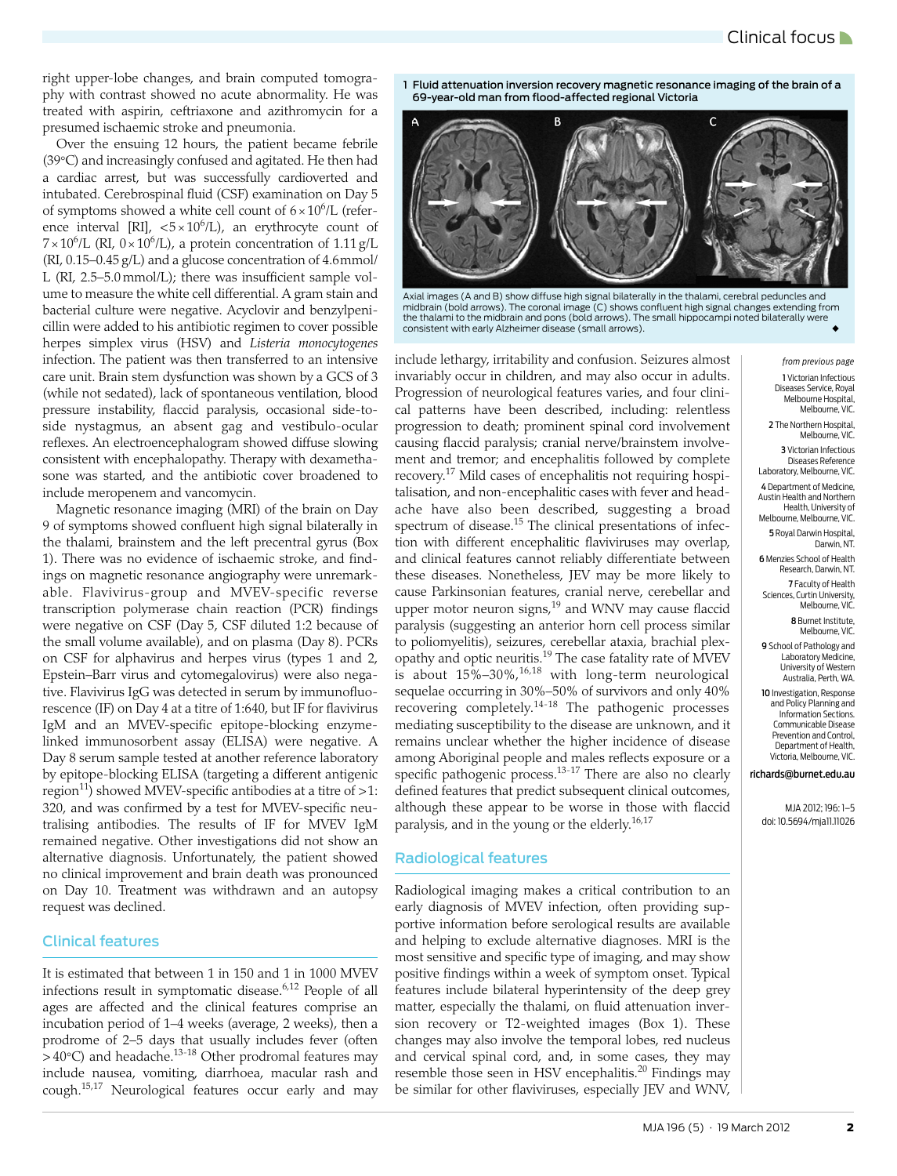right upper-lobe changes, and brain computed tomography with contrast showed no acute abnormality. He was treated with aspirin, ceftriaxone and azithromycin for a presumed ischaemic stroke and pneumonia.

Over the ensuing 12 hours, the patient became febrile (39°C) and increasingly confused and agitated. He then had a cardiac arrest, but was successfully cardioverted and intubated. Cerebrospinal fluid (CSF) examination on Day 5 of symptoms showed a white cell count of  $6 \times 10^6$ /L (reference interval [RI],  $\langle 5 \times 10^6 / L \rangle$ , an erythrocyte count of  $7 \times 10^6$ /L (RI,  $0 \times 10^6$ /L), a protein concentration of 1.11 g/L (RI, 0.15–0.45 g/L) and a glucose concentration of 4.6mmol/ L (RI, 2.5–5.0 mmol/L); there was insufficient sample volume to measure the white cell differential. A gram stain and bacterial culture were negative. Acyclovir and benzylpenicillin were added to his antibiotic regimen to cover possible herpes simplex virus (HSV) and *Listeria monocytogenes* infection. The patient was then transferred to an intensive care unit. Brain stem dysfunction was shown by a GCS of 3 (while not sedated), lack of spontaneous ventilation, blood pressure instability, flaccid paralysis, occasional side-toside nystagmus, an absent gag and vestibulo-ocular reflexes. An electroencephalogram showed diffuse slowing consistent with encephalopathy. Therapy with dexamethasone was started, and the antibiotic cover broadened to include meropenem and vancomycin.

Magnetic resonance imaging (MRI) of the brain on Day 9 of symptoms showed confluent high signal bilaterally in the thalami, brainstem and the left precentral gyrus ([Box](#page-1-0) [1\)](#page-1-0). There was no evidence of ischaemic stroke, and findings on magnetic resonance angiography were unremarkable. Flavivirus-group and MVEV-specific reverse transcription polymerase chain reaction (PCR) findings were negative on CSF (Day 5, CSF diluted 1:2 because of the small volume available), and on plasma (Day 8). PCRs on CSF for alphavirus and herpes virus (types 1 and 2, Epstein–Barr virus and cytomegalovirus) were also negative. Flavivirus IgG was detected in serum by immunofluorescence (IF) on Day 4 at a titre of 1:640, but IF for flavivirus IgM and an MVEV-specific epitope-blocking enzymelinked immunosorbent assay (ELISA) were negative. A Day 8 serum sample tested at another reference laboratory by epitope-blocking ELISA (targeting a different antigenic region<sup>11</sup>) showed MVEV-specific antibodies at a titre of  $>1$ : 320, and was confirmed by a test for MVEV-specific neutralising antibodies. The results of IF for MVEV IgM remained negative. Other investigations did not show an alternative diagnosis. Unfortunately, the patient showed no clinical improvement and brain death was pronounced on Day 10. Treatment was withdrawn and an autopsy request was declined.

#### Clinical features

It is estimated that between 1 in 150 and 1 in 1000 MVEV infections result in symptomatic disease. $6,12$  $6,12$  People of all ages are affected and the clinical features comprise an incubation period of 1–4 weeks (average, 2 weeks), then a prodrome of 2–5 days that usually includes fever (often  $>$  40°C) and headache.<sup>13-18</sup> Other prodromal features may include nausea, vomiting, diarrhoea, macular rash and cough[.15](#page-3-14),[17](#page-3-15) Neurological features occur early and may <span id="page-1-0"></span>1 Fluid attenuation inversion recovery magnetic resonance imaging of the brain of a 69-year-old man from flood-affected regional Victoria



Axial images (A and B) show diffuse high signal bilaterally in the thalami, cerebral peduncles and midbrain (bold arrows). The coronal image (C) shows confluent high signal changes extending from the thalami to the midbrain and pons (bold arrows). The small hippocampi noted bilaterally were consistent with early Alzheimer disease (small arrows).

include lethargy, irritability and confusion. Seizures almost invariably occur in children, and may also occur in adults. Progression of neurological features varies, and four clinical patterns have been described, including: relentless progression to death; prominent spinal cord involvement causing flaccid paralysis; cranial nerve/brainstem involvement and tremor; and encephalitis followed by complete recovery.[17](#page-3-15) Mild cases of encephalitis not requiring hospitalisation, and non-encephalitic cases with fever and headache have also been described, suggesting a broad spectrum of disease.<sup>15</sup> The clinical presentations of infection with different encephalitic flaviviruses may overlap, and clinical features cannot reliably differentiate between these diseases. Nonetheless, JEV may be more likely to cause Parkinsonian features, cranial nerve, cerebellar and upper motor neuron signs,<sup>[19](#page-3-16)</sup> and WNV may cause flaccid paralysis (suggesting an anterior horn cell process similar to poliomyelitis), seizures, cerebellar ataxia, brachial plexopathy and optic neuritis.<sup>19</sup> The case fatality rate of MVEV is about  $15\%$ – $30\%$ , $^{16,18}$  $^{16,18}$  $^{16,18}$  with long-term neurological sequelae occurring in 30%–50% of survivors and only 40% recovering completely.[14-](#page-3-18)[18](#page-3-13) The pathogenic processes mediating susceptibility to the disease are unknown, and it remains unclear whether the higher incidence of disease among Aboriginal people and males reflects exposure or a specific pathogenic process.<sup>[13](#page-3-12)-[17](#page-3-15)</sup> There are also no clearly defined features that predict subsequent clinical outcomes, although these appear to be worse in those with flaccid paralysis, and in the young or the elderly.<sup>16[,17](#page-3-15)</sup>

#### Radiological features

Radiological imaging makes a critical contribution to an early diagnosis of MVEV infection, often providing supportive information before serological results are available and helping to exclude alternative diagnoses. MRI is the most sensitive and specific type of imaging, and may show positive findings within a week of symptom onset. Typical features include bilateral hyperintensity of the deep grey matter, especially the thalami, on fluid attenuation inversion recovery or T2-weighted images ([Box 1](#page-1-0)). These changes may also involve the temporal lobes, red nucleus and cervical spinal cord, and, in some cases, they may resemble those seen in HSV encephalitis.<sup>20</sup> Findings may be similar for other flaviviruses, especially JEV and WNV,

*from previous page* 1 Victorian Infectious Diseases Service, Royal Melbourne Hospital, Melbourne, VIC.

2 The Northern Hospital Melbourne, VIC.

3 Victorian Infectious Diseases Reference Laboratory, Melbourne, VIC.

4 Department of Medicine, Austin Health and Northern Health, University of Melbourne, Melbourne, VIC.

5 Royal Darwin Hospital, Darwin, NT.

6 Menzies School of Health Research, Darwin, NT.

7 Faculty of Health Sciences, Curtin University, Melbourne, VIC.

> 8 Burnet Institute, Melbourne, VIC.

9 School of Pathology and Laboratory Medicine, University of Western Australia, Perth, WA.

10 Investigation, Response and Policy Planning and Information Sections. Communicable Disease Prevention and Control, Department of Health, Victoria, Melbourne, VIC.

#### richards@burnet.edu.au

MJA 2012; 196: [1](#page-0-1)[–5](#page-4-0) doi: 10.5694/mja11.11026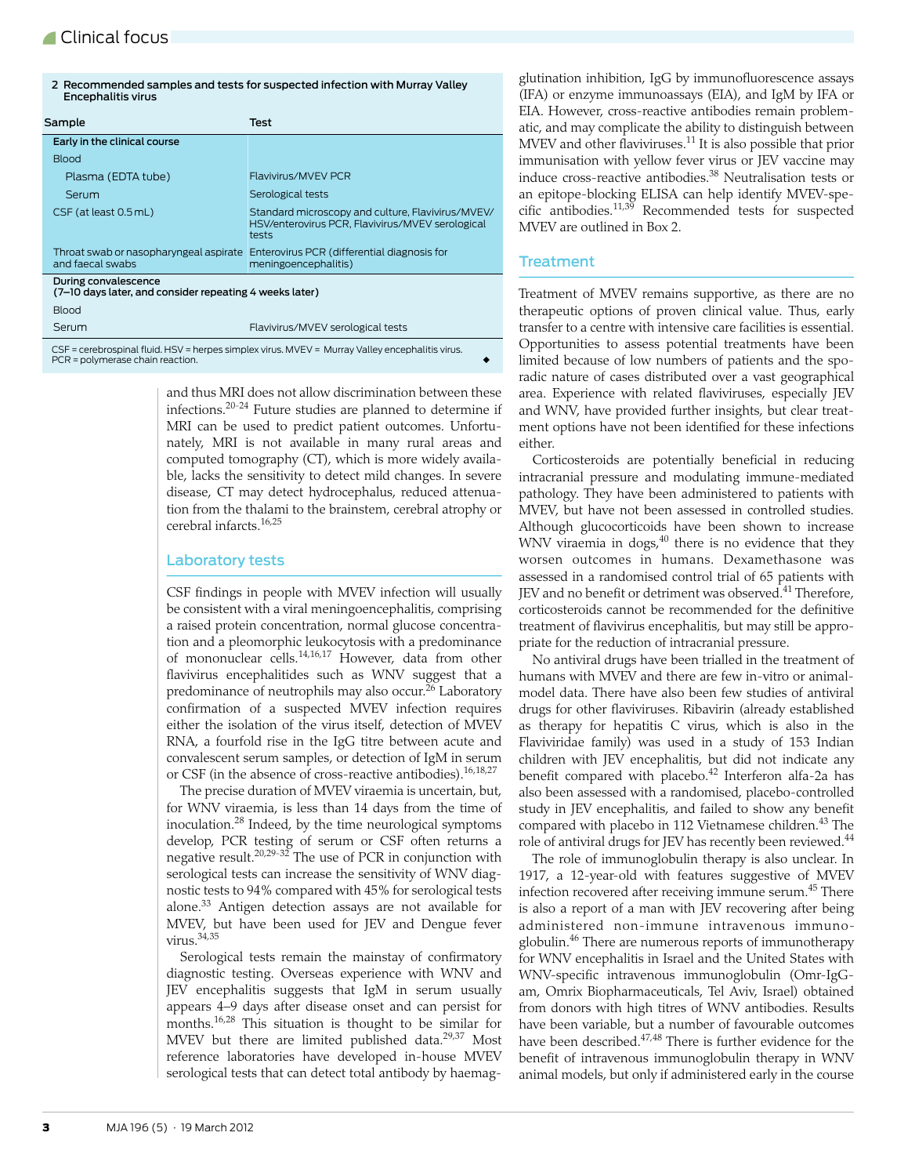<span id="page-2-0"></span>2 Recommended samples and tests for suspected infection with Murray Valley Encephalitis virus

| Sample                                                                                        | Test                                                                                                           |
|-----------------------------------------------------------------------------------------------|----------------------------------------------------------------------------------------------------------------|
| Early in the clinical course                                                                  |                                                                                                                |
| <b>Blood</b>                                                                                  |                                                                                                                |
| Plasma (EDTA tube)                                                                            | Flavivirus/MVEV PCR                                                                                            |
| Serum                                                                                         | Serological tests                                                                                              |
| CSF (at least 0.5 mL)                                                                         | Standard microscopy and culture, Flavivirus/MVEV/<br>HSV/enterovirus PCR, Flavivirus/MVEV serological<br>tests |
| and faecal swabs                                                                              | Throat swab or nasopharyngeal aspirate Enterovirus PCR (differential diagnosis for<br>meningoencephalitis)     |
| During convalescence<br>(7-10 days later, and consider repeating 4 weeks later)               |                                                                                                                |
| <b>Blood</b>                                                                                  |                                                                                                                |
| Serum                                                                                         | Flavivirus/MVEV serological tests                                                                              |
| $CCT =$ corporation fuid LICV = horoes depeloy virus AAVEV = Murray Volloy operated the virus |                                                                                                                |

CSF = cerebrospinal fluid. HSV = herpes simplex virus. MVEV = Murray Valley encephalitis virus. PCR = polymerase chain reaction.

> and thus MRI does not allow discrimination between these infections.[20](#page-3-19)-[24](#page-3-20) Future studies are planned to determine if MRI can be used to predict patient outcomes. Unfortunately, MRI is not available in many rural areas and computed tomography (CT), which is more widely available, lacks the sensitivity to detect mild changes. In severe disease, CT may detect hydrocephalus, reduced attenuation from the thalami to the brainstem, cerebral atrophy or cerebral infarcts.[16](#page-3-17),[25](#page-3-21)

#### Laboratory tests

CSF findings in people with MVEV infection will usually be consistent with a viral meningoencephalitis, comprising a raised protein concentration, normal glucose concentration and a pleomorphic leukocytosis with a predominance of mononuclear cells[.14](#page-3-18),[16](#page-3-17),[17](#page-3-15) However, data from other flavivirus encephalitides such as WNV suggest that a predominance of neutrophils may also occur.<sup>26</sup> Laboratory confirmation of a suspected MVEV infection requires either the isolation of the virus itself, detection of MVEV RNA, a fourfold rise in the IgG titre between acute and convalescent serum samples, or detection of IgM in serum or CSF (in the absence of cross-reactive antibodies).<sup>[16](#page-3-17),[18,](#page-3-13)[27](#page-3-23)</sup>

The precise duration of MVEV viraemia is uncertain, but, for WNV viraemia, is less than 14 days from the time of inoculation.[28](#page-3-24) Indeed, by the time neurological symptoms develop, PCR testing of serum or CSF often returns a negative result.<sup>[20](#page-3-19),[29](#page-3-25)-[32](#page-4-1)</sup> The use of PCR in conjunction with serological tests can increase the sensitivity of WNV diagnostic tests to 94% compared with 45% for serological tests alone.[33](#page-4-2) Antigen detection assays are not available for MVEV, but have been used for JEV and Dengue fever virus.<sup>[34,](#page-4-3)[35](#page-4-4)</sup>

Serological tests remain the mainstay of confirmatory diagnostic testing. Overseas experience with WNV and JEV encephalitis suggests that IgM in serum usually appears 4–9 days after disease onset and can persist for months.<sup>[16](#page-3-17),[28](#page-3-24)</sup> This situation is thought to be similar for MVEV but there are limited published data.<sup>[29](#page-3-25)[,37](#page-4-5)</sup> Most reference laboratories have developed in-house MVEV serological tests that can detect total antibody by haemag-

glutination inhibition, IgG by immunofluorescence assays (IFA) or enzyme immunoassays (EIA), and IgM by IFA or EIA. However, cross-reactive antibodies remain problematic, and may complicate the ability to distinguish between MVEV and other flaviviruses.<sup>11</sup> It is also possible that prior immunisation with yellow fever virus or JEV vaccine may induce cross-reactive antibodies.[38](#page-4-6) Neutralisation tests or an epitope-blocking ELISA can help identify MVEV-spe-cific antibodies.<sup>[11](#page-3-10),[39](#page-4-7)</sup> Recommended tests for suspected MVEV are outlined in [Box 2](#page-2-0).

#### **Treatment**

Treatment of MVEV remains supportive, as there are no therapeutic options of proven clinical value. Thus, early transfer to a centre with intensive care facilities is essential. Opportunities to assess potential treatments have been limited because of low numbers of patients and the sporadic nature of cases distributed over a vast geographical area. Experience with related flaviviruses, especially JEV and WNV, have provided further insights, but clear treatment options have not been identified for these infections either.

Corticosteroids are potentially beneficial in reducing intracranial pressure and modulating immune-mediated pathology. They have been administered to patients with MVEV, but have not been assessed in controlled studies. Although glucocorticoids have been shown to increase WNV viraemia in dogs, $40$  there is no evidence that they worsen outcomes in humans. Dexamethasone was assessed in a randomised control trial of 65 patients with IEV and no benefit or detriment was observed. $41$  Therefore, corticosteroids cannot be recommended for the definitive treatment of flavivirus encephalitis, but may still be appropriate for the reduction of intracranial pressure.

No antiviral drugs have been trialled in the treatment of humans with MVEV and there are few in-vitro or animalmodel data. There have also been few studies of antiviral drugs for other flaviviruses. Ribavirin (already established as therapy for hepatitis C virus, which is also in the Flaviviridae family) was used in a study of 153 Indian children with JEV encephalitis, but did not indicate any benefit compared with placebo.<sup>42</sup> Interferon alfa-2a has also been assessed with a randomised, placebo-controlled study in JEV encephalitis, and failed to show any benefit compared with placebo in 112 Vietnamese children.<sup>43</sup> The role of antiviral drugs for JEV has recently been reviewed.<sup>[44](#page-4-12)</sup>

The role of immunoglobulin therapy is also unclear. In 1917, a 12-year-old with features suggestive of MVEV infection recovered after receiving immune serum.<sup>45</sup> There is also a report of a man with JEV recovering after being administered non-immune intravenous immuno-globulin.<sup>[46](#page-4-14)</sup> There are numerous reports of immunotherapy for WNV encephalitis in Israel and the United States with WNV-specific intravenous immunoglobulin (Omr-IgGam, Omrix Biopharmaceuticals, Tel Aviv, Israel) obtained from donors with high titres of WNV antibodies. Results have been variable, but a number of favourable outcomes have been described.<sup>[47,](#page-4-15)[48](#page-4-16)</sup> There is further evidence for the benefit of intravenous immunoglobulin therapy in WNV animal models, but only if administered early in the course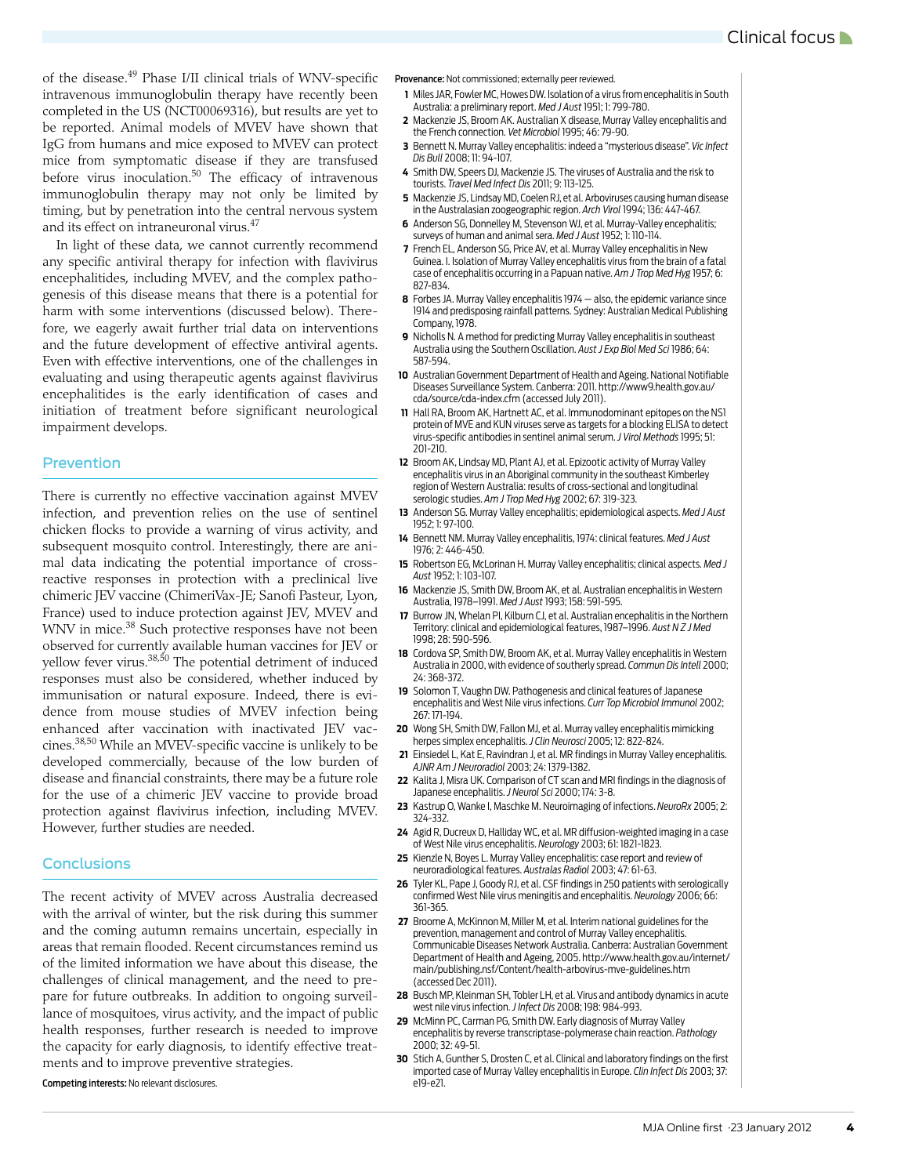of the disease.[49](#page-4-17) Phase I/II clinical trials of WNV-specific intravenous immunoglobulin therapy have recently been completed in the US (NCT00069316), but results are yet to be reported. Animal models of MVEV have shown that IgG from humans and mice exposed to MVEV can protect mice from symptomatic disease if they are transfused before virus inoculation.<sup>50</sup> The efficacy of intravenous immunoglobulin therapy may not only be limited by timing, but by penetration into the central nervous system and its effect on intraneuronal virus[.47](#page-4-15)

In light of these data, we cannot currently recommend any specific antiviral therapy for infection with flavivirus encephalitides, including MVEV, and the complex pathogenesis of this disease means that there is a potential for harm with some interventions (discussed below). Therefore, we eagerly await further trial data on interventions and the future development of effective antiviral agents. Even with effective interventions, one of the challenges in evaluating and using therapeutic agents against flavivirus encephalitides is the early identification of cases and initiation of treatment before significant neurological impairment develops.

#### Prevention

There is currently no effective vaccination against MVEV infection, and prevention relies on the use of sentinel chicken flocks to provide a warning of virus activity, and subsequent mosquito control. Interestingly, there are animal data indicating the potential importance of crossreactive responses in protection with a preclinical live chimeric JEV vaccine (ChimeriVax-JE; Sanofi Pasteur, Lyon, France) used to induce protection against JEV, MVEV and WNV in mice.<sup>38</sup> Such protective responses have not been observed for currently available human vaccines for JEV or yellow fever virus.<sup>[38,](#page-4-6)[50](#page-4-0)</sup> The potential detriment of induced responses must also be considered, whether induced by immunisation or natural exposure. Indeed, there is evidence from mouse studies of MVEV infection being enhanced after vaccination with inactivated JEV vaccines.[38](#page-4-6),[50](#page-4-0) While an MVEV-specific vaccine is unlikely to be developed commercially, because of the low burden of disease and financial constraints, there may be a future role for the use of a chimeric JEV vaccine to provide broad protection against flavivirus infection, including MVEV. However, further studies are needed.

#### **Conclusions**

The recent activity of MVEV across Australia decreased with the arrival of winter, but the risk during this summer and the coming autumn remains uncertain, especially in areas that remain flooded. Recent circumstances remind us of the limited information we have about this disease, the challenges of clinical management, and the need to prepare for future outbreaks. In addition to ongoing surveillance of mosquitoes, virus activity, and the impact of public health responses, further research is needed to improve the capacity for early diagnosis, to identify effective treatments and to improve preventive strategies.

Competing interests: No relevant disclosures.

Provenance: Not commissioned; externally peer reviewed.

- <span id="page-3-0"></span>**1** Miles JAR, Fowler MC, Howes DW. Isolation of a virus from encephalitis in South Australia: a preliminary report. *Med J Aust* 1951; 1: 799-780.
- <span id="page-3-1"></span>**2** Mackenzie JS, Broom AK. Australian X disease, Murray Valley encephalitis and the French connection. *Vet Microbiol* 1995; 46: 79-90.
- <span id="page-3-2"></span>**3** Bennett N. Murray Valley encephalitis: indeed a "mysterious disease". *Vic Infect Dis Bull* 2008; 11: 94-107.
- <span id="page-3-3"></span>**4** Smith DW, Speers DJ, Mackenzie JS. The viruses of Australia and the risk to tourists. *Travel Med Infect Dis* 2011; 9: 113-125.
- <span id="page-3-4"></span>**5** Mackenzie JS, Lindsay MD, Coelen RJ, et al. Arboviruses causing human disease in the Australasian zoogeographic region. *Arch Virol* 1994; 136: 447-467.
- <span id="page-3-5"></span>**6** Anderson SG, Donnelley M, Stevenson WJ, et al. Murray-Valley encephalitis; surveys of human and animal sera. *Med J Aust* 1952; 1: 110-114.
- <span id="page-3-6"></span>**7** French EL, Anderson SG, Price AV, et al. Murray Valley encephalitis in New Guinea. I. Isolation of Murray Valley encephalitis virus from the brain of a fatal case of encephalitis occurring in a Papuan native. *Am J Trop Med Hyg* 1957; 6: 827-834.
- <span id="page-3-7"></span>**8** Forbes JA. Murray Valley encephalitis 1974 — also, the epidemic variance since 1914 and predisposing rainfall patterns. Sydney: Australian Medical Publishing Company, 1978.
- <span id="page-3-8"></span>**9** Nicholls N. A method for predicting Murray Valley encephalitis in southeast Australia using the Southern Oscillation. *Aust J Exp Biol Med Sci* 1986; 64: 587-594.
- <span id="page-3-9"></span>**10** Australian Government Department of Health and Ageing. National Notifiable Diseases Surveillance System. Canberra: 2011. http://www9.health.gov.au/ cda/source/cda-index.cfm (accessed July 2011).
- <span id="page-3-10"></span>**11** Hall RA, Broom AK, Hartnett AC, et al. Immunodominant epitopes on the NS1 protein of MVE and KUN viruses serve as targets for a blocking ELISA to detect virus-specific antibodies in sentinel animal serum. *J Virol Methods* 1995; 51: 201-210.
- <span id="page-3-11"></span>**12** Broom AK, Lindsay MD, Plant AJ, et al. Epizootic activity of Murray Valley encephalitis virus in an Aboriginal community in the southeast Kimberley region of Western Australia: results of cross-sectional and longitudinal serologic studies. *Am J Trop Med Hyg* 2002; 67: 319-323.
- <span id="page-3-12"></span>**13** Anderson SG. Murray Valley encephalitis; epidemiological aspects. *Med J Aust* 1952; 1: 97-100.
- <span id="page-3-18"></span>**14** Bennett NM. Murray Valley encephalitis, 1974: clinical features. *Med J Aust* 1976; 2: 446-450.
- <span id="page-3-14"></span>**15** Robertson EG, McLorinan H. Murray Valley encephalitis; clinical aspects. *Med J Aust* 1952; 1: 103-107.
- <span id="page-3-17"></span>**16** Mackenzie JS, Smith DW, Broom AK, et al. Australian encephalitis in Western Australia, 1978–1991. *Med J Aust* 1993; 158: 591-595.
- <span id="page-3-15"></span>**17** Burrow JN, Whelan PI, Kilburn CJ, et al. Australian encephalitis in the Northern Territory: clinical and epidemiological features, 1987–1996. *Aust N Z J Med* 1998; 28: 590-596.
- <span id="page-3-13"></span>**18** Cordova SP, Smith DW, Broom AK, et al. Murray Valley encephalitis in Western Australia in 2000, with evidence of southerly spread. *Commun Dis Intell* 2000; 24: 368-372.
- <span id="page-3-16"></span>**19** Solomon T, Vaughn DW. Pathogenesis and clinical features of Japanese encephalitis and West Nile virus infections. *Curr Top Microbiol Immunol* 2002; 267: 171-194.
- <span id="page-3-19"></span>**20** Wong SH, Smith DW, Fallon MJ, et al. Murray valley encephalitis mimicking herpes simplex encephalitis. *J Clin Neurosci* 2005; 12: 822-824.
- **21** Einsiedel L, Kat E, Ravindran J, et al. MR findings in Murray Valley encephalitis. *AJNR Am J Neuroradiol* 2003; 24: 1379-1382.
- **22** Kalita J, Misra UK. Comparison of CT scan and MRI findings in the diagnosis of Japanese encephalitis. *J Neurol Sci* 2000; 174: 3-8.
- **23** Kastrup O, Wanke I, Maschke M. Neuroimaging of infections. *NeuroRx* 2005; 2: 324-332.
- <span id="page-3-20"></span>**24** Agid R, Ducreux D, Halliday WC, et al. MR diffusion-weighted imaging in a case of West Nile virus encephalitis. *Neurology* 2003; 61: 1821-1823.
- <span id="page-3-21"></span>**25** Kienzle N, Boyes L. Murray Valley encephalitis: case report and review of neuroradiological features. *Australas Radiol* 2003; 47: 61-63.
- <span id="page-3-22"></span>**26** Tyler KL, Pape J, Goody RJ, et al. CSF findings in 250 patients with serologically confirmed West Nile virus meningitis and encephalitis. *Neurology* 2006; 66: 361-365.
- <span id="page-3-23"></span>**27** Broome A, McKinnon M, Miller M, et al. Interim national guidelines for the prevention, management and control of Murray Valley encephalitis. Communicable Diseases Network Australia. Canberra: Australian Government Department of Health and Ageing, 2005. http://www.health.gov.au/internet/ main/publishing.nsf/Content/health-arbovirus-mve-guidelines.htm (accessed Dec 2011).
- <span id="page-3-24"></span>**28** Busch MP, Kleinman SH, Tobler LH, et al. Virus and antibody dynamics in acute west nile virus infection. *J Infect Dis* 2008; 198: 984-993.
- <span id="page-3-25"></span>**29** McMinn PC, Carman PG, Smith DW. Early diagnosis of Murray Valley encephalitis by reverse transcriptase-polymerase chain reaction. *Pathology* 2000; 32: 49-51.
- **30** Stich A, Gunther S, Drosten C, et al. Clinical and laboratory findings on the first imported case of Murray Valley encephalitis in Europe. *Clin Infect Dis* 2003; 37: e19-e21.